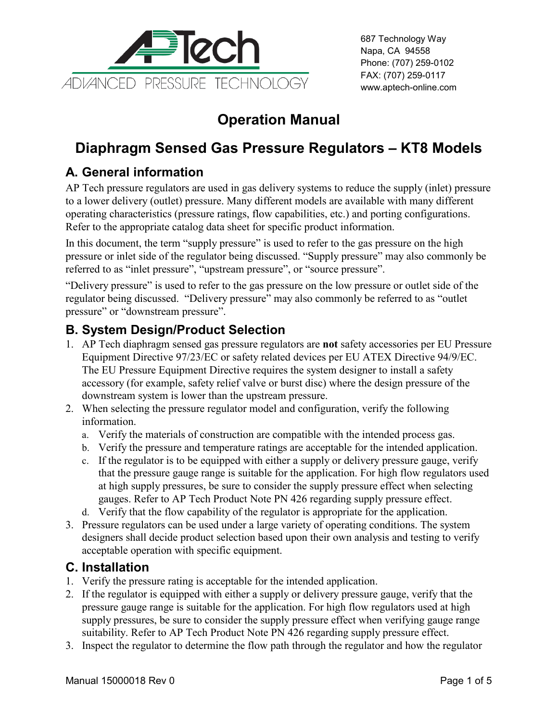

# **Operation Manual**

## **Diaphragm Sensed Gas Pressure Regulators – KT8 Models**

### **A. General information**

AP Tech pressure regulators are used in gas delivery systems to reduce the supply (inlet) pressure to a lower delivery (outlet) pressure. Many different models are available with many different operating characteristics (pressure ratings, flow capabilities, etc.) and porting configurations. Refer to the appropriate catalog data sheet for specific product information.

In this document, the term "supply pressure" is used to refer to the gas pressure on the high pressure or inlet side of the regulator being discussed. "Supply pressure" may also commonly be referred to as "inlet pressure", "upstream pressure", or "source pressure".

"Delivery pressure" is used to refer to the gas pressure on the low pressure or outlet side of the regulator being discussed. "Delivery pressure" may also commonly be referred to as "outlet pressure" or "downstream pressure".

#### **B. System Design/Product Selection**

- 1. AP Tech diaphragm sensed gas pressure regulators are **not** safety accessories per EU Pressure Equipment Directive 97/23/EC or safety related devices per EU ATEX Directive 94/9/EC. The EU Pressure Equipment Directive requires the system designer to install a safety accessory (for example, safety relief valve or burst disc) where the design pressure of the downstream system is lower than the upstream pressure.
- 2. When selecting the pressure regulator model and configuration, verify the following information.
	- a. Verify the materials of construction are compatible with the intended process gas.
	- b. Verify the pressure and temperature ratings are acceptable for the intended application.
	- c. If the regulator is to be equipped with either a supply or delivery pressure gauge, verify that the pressure gauge range is suitable for the application. For high flow regulators used at high supply pressures, be sure to consider the supply pressure effect when selecting gauges. Refer to AP Tech Product Note PN 426 regarding supply pressure effect.
	- d. Verify that the flow capability of the regulator is appropriate for the application.
- 3. Pressure regulators can be used under a large variety of operating conditions. The system designers shall decide product selection based upon their own analysis and testing to verify acceptable operation with specific equipment.

#### **C. Installation**

- 1. Verify the pressure rating is acceptable for the intended application.
- 2. If the regulator is equipped with either a supply or delivery pressure gauge, verify that the pressure gauge range is suitable for the application. For high flow regulators used at high supply pressures, be sure to consider the supply pressure effect when verifying gauge range suitability. Refer to AP Tech Product Note PN 426 regarding supply pressure effect.
- 3. Inspect the regulator to determine the flow path through the regulator and how the regulator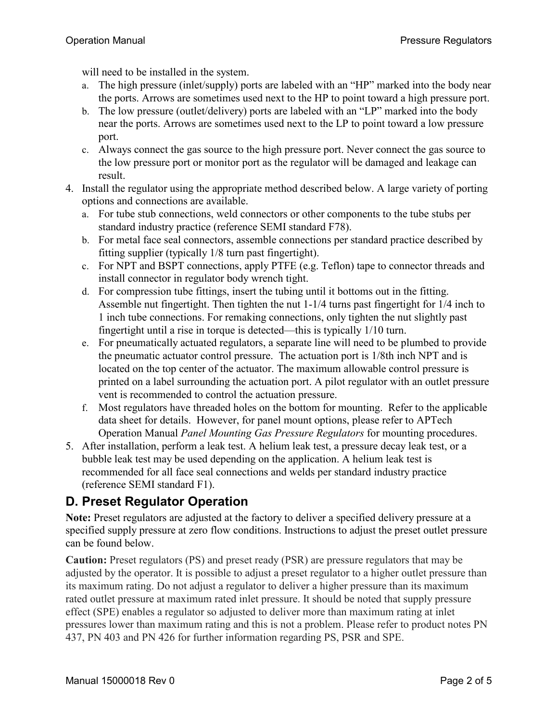will need to be installed in the system.

- a. The high pressure (inlet/supply) ports are labeled with an "HP" marked into the body near the ports. Arrows are sometimes used next to the HP to point toward a high pressure port.
- b. The low pressure (outlet/delivery) ports are labeled with an "LP" marked into the body near the ports. Arrows are sometimes used next to the LP to point toward a low pressure port.
- c. Always connect the gas source to the high pressure port. Never connect the gas source to the low pressure port or monitor port as the regulator will be damaged and leakage can result.
- 4. Install the regulator using the appropriate method described below. A large variety of porting options and connections are available.
	- a. For tube stub connections, weld connectors or other components to the tube stubs per standard industry practice (reference SEMI standard F78).
	- b. For metal face seal connectors, assemble connections per standard practice described by fitting supplier (typically 1/8 turn past fingertight).
	- c. For NPT and BSPT connections, apply PTFE (e.g. Teflon) tape to connector threads and install connector in regulator body wrench tight.
	- d. For compression tube fittings, insert the tubing until it bottoms out in the fitting. Assemble nut fingertight. Then tighten the nut 1-1/4 turns past fingertight for 1/4 inch to 1 inch tube connections. For remaking connections, only tighten the nut slightly past fingertight until a rise in torque is detected—this is typically 1/10 turn.
	- e. For pneumatically actuated regulators, a separate line will need to be plumbed to provide the pneumatic actuator control pressure. The actuation port is 1/8th inch NPT and is located on the top center of the actuator. The maximum allowable control pressure is printed on a label surrounding the actuation port. A pilot regulator with an outlet pressure vent is recommended to control the actuation pressure.
	- f. Most regulators have threaded holes on the bottom for mounting. Refer to the applicable data sheet for details. However, for panel mount options, please refer to APTech Operation Manual *Panel Mounting Gas Pressure Regulators* for mounting procedures.
- 5. After installation, perform a leak test. A helium leak test, a pressure decay leak test, or a bubble leak test may be used depending on the application. A helium leak test is recommended for all face seal connections and welds per standard industry practice (reference SEMI standard F1).

### **D. Preset Regulator Operation**

**Note:** Preset regulators are adjusted at the factory to deliver a specified delivery pressure at a specified supply pressure at zero flow conditions. Instructions to adjust the preset outlet pressure can be found below.

**Caution:** Preset regulators (PS) and preset ready (PSR) are pressure regulators that may be adjusted by the operator. It is possible to adjust a preset regulator to a higher outlet pressure than its maximum rating. Do not adjust a regulator to deliver a higher pressure than its maximum rated outlet pressure at maximum rated inlet pressure. It should be noted that supply pressure effect (SPE) enables a regulator so adjusted to deliver more than maximum rating at inlet pressures lower than maximum rating and this is not a problem. Please refer to product notes PN 437, PN 403 and PN 426 for further information regarding PS, PSR and SPE.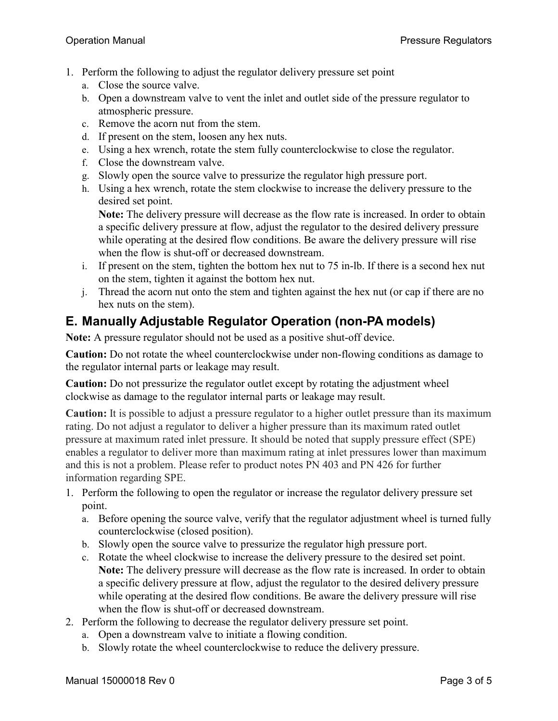- 1. Perform the following to adjust the regulator delivery pressure set point
	- a. Close the source valve.
	- b. Open a downstream valve to vent the inlet and outlet side of the pressure regulator to atmospheric pressure.
	- c. Remove the acorn nut from the stem.
	- d. If present on the stem, loosen any hex nuts.
	- e. Using a hex wrench, rotate the stem fully counterclockwise to close the regulator.
	- f. Close the downstream valve.
	- g. Slowly open the source valve to pressurize the regulator high pressure port.
	- h. Using a hex wrench, rotate the stem clockwise to increase the delivery pressure to the desired set point.

**Note:** The delivery pressure will decrease as the flow rate is increased. In order to obtain a specific delivery pressure at flow, adjust the regulator to the desired delivery pressure while operating at the desired flow conditions. Be aware the delivery pressure will rise when the flow is shut-off or decreased downstream.

- i. If present on the stem, tighten the bottom hex nut to 75 in-lb. If there is a second hex nut on the stem, tighten it against the bottom hex nut.
- j. Thread the acorn nut onto the stem and tighten against the hex nut (or cap if there are no hex nuts on the stem).

#### **E. Manually Adjustable Regulator Operation (non-PA models)**

**Note:** A pressure regulator should not be used as a positive shut-off device.

**Caution:** Do not rotate the wheel counterclockwise under non-flowing conditions as damage to the regulator internal parts or leakage may result.

**Caution:** Do not pressurize the regulator outlet except by rotating the adjustment wheel clockwise as damage to the regulator internal parts or leakage may result.

**Caution:** It is possible to adjust a pressure regulator to a higher outlet pressure than its maximum rating. Do not adjust a regulator to deliver a higher pressure than its maximum rated outlet pressure at maximum rated inlet pressure. It should be noted that supply pressure effect (SPE) enables a regulator to deliver more than maximum rating at inlet pressures lower than maximum and this is not a problem. Please refer to product notes PN 403 and PN 426 for further information regarding SPE.

- 1. Perform the following to open the regulator or increase the regulator delivery pressure set point.
	- a. Before opening the source valve, verify that the regulator adjustment wheel is turned fully counterclockwise (closed position).
	- b. Slowly open the source valve to pressurize the regulator high pressure port.
	- c. Rotate the wheel clockwise to increase the delivery pressure to the desired set point. **Note:** The delivery pressure will decrease as the flow rate is increased. In order to obtain a specific delivery pressure at flow, adjust the regulator to the desired delivery pressure while operating at the desired flow conditions. Be aware the delivery pressure will rise when the flow is shut-off or decreased downstream.
- 2. Perform the following to decrease the regulator delivery pressure set point.
	- a. Open a downstream valve to initiate a flowing condition.
	- b. Slowly rotate the wheel counterclockwise to reduce the delivery pressure.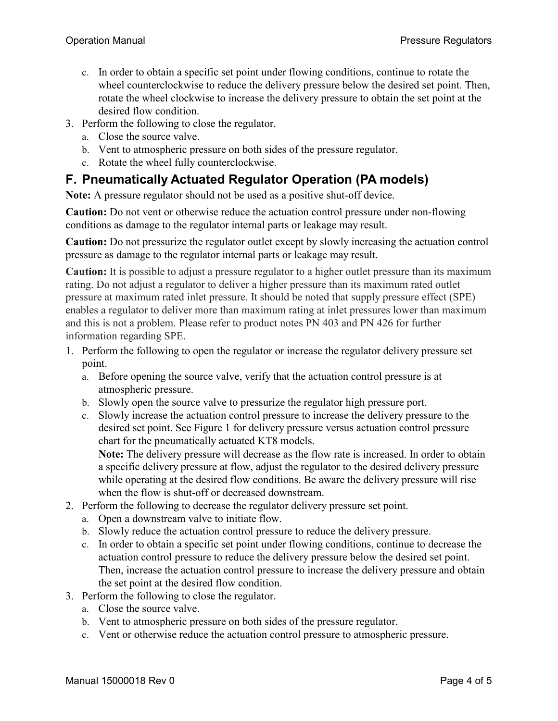- c. In order to obtain a specific set point under flowing conditions, continue to rotate the wheel counterclockwise to reduce the delivery pressure below the desired set point. Then, rotate the wheel clockwise to increase the delivery pressure to obtain the set point at the desired flow condition.
- 3. Perform the following to close the regulator.
	- a. Close the source valve.
	- b. Vent to atmospheric pressure on both sides of the pressure regulator.
	- c. Rotate the wheel fully counterclockwise.

#### **F. Pneumatically Actuated Regulator Operation (PA models)**

**Note:** A pressure regulator should not be used as a positive shut-off device.

**Caution:** Do not vent or otherwise reduce the actuation control pressure under non-flowing conditions as damage to the regulator internal parts or leakage may result.

**Caution:** Do not pressurize the regulator outlet except by slowly increasing the actuation control pressure as damage to the regulator internal parts or leakage may result.

**Caution:** It is possible to adjust a pressure regulator to a higher outlet pressure than its maximum rating. Do not adjust a regulator to deliver a higher pressure than its maximum rated outlet pressure at maximum rated inlet pressure. It should be noted that supply pressure effect (SPE) enables a regulator to deliver more than maximum rating at inlet pressures lower than maximum and this is not a problem. Please refer to product notes PN 403 and PN 426 for further information regarding SPE.

- 1. Perform the following to open the regulator or increase the regulator delivery pressure set point.
	- a. Before opening the source valve, verify that the actuation control pressure is at atmospheric pressure.
	- b. Slowly open the source valve to pressurize the regulator high pressure port.
	- c. Slowly increase the actuation control pressure to increase the delivery pressure to the desired set point. See Figure 1 for delivery pressure versus actuation control pressure chart for the pneumatically actuated KT8 models. **Note:** The delivery pressure will decrease as the flow rate is increased. In order to obtain

a specific delivery pressure at flow, adjust the regulator to the desired delivery pressure while operating at the desired flow conditions. Be aware the delivery pressure will rise when the flow is shut-off or decreased downstream.

- 2. Perform the following to decrease the regulator delivery pressure set point.
	- a. Open a downstream valve to initiate flow.
	- b. Slowly reduce the actuation control pressure to reduce the delivery pressure.
	- c. In order to obtain a specific set point under flowing conditions, continue to decrease the actuation control pressure to reduce the delivery pressure below the desired set point. Then, increase the actuation control pressure to increase the delivery pressure and obtain the set point at the desired flow condition.
- 3. Perform the following to close the regulator.
	- a. Close the source valve.
	- b. Vent to atmospheric pressure on both sides of the pressure regulator.
	- c. Vent or otherwise reduce the actuation control pressure to atmospheric pressure.